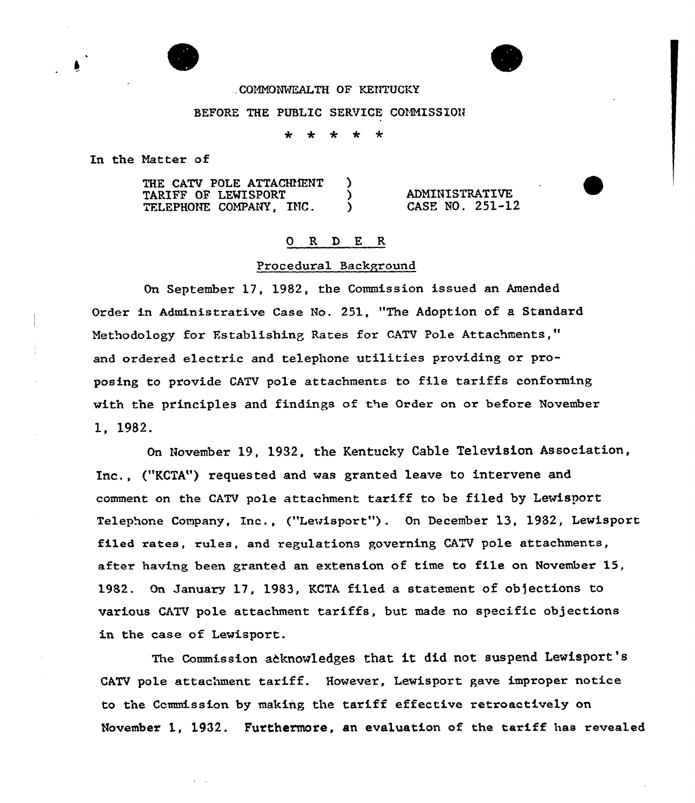## .CONNONMEALTH GF KENTUCKY

#### BEFORE THE PUBLIC SERVICE COMMISSION

 $\div$ 

In the Natter of

THE CATV POLE ATTACHMENT )<br>TARTFF OF LEWISPORT ) TARIFF OF LEWISPORT (1997)<br>TELEPHONE COMPANY, INC. TELEPHONE COMPANY, INC. ADNINISTRATIVE CASE NO. 251-12

### 0 R D E R

#### Procedural Background

On September 17, 1982, the Commission issued an Amended Order in Administrative Case No. 251, "The Adoption of a Standard Methodology for Establishing Rates for CATV Pole Attachments," and ordered electric and telephone utilities providing or proposing to provide CATV pole attachments to file tariffs conforming with the principles and findings of the Order on or before November 1, 1982.

On November 19, 1932, the Kentucky Cable Television Association, Inc., ("KCTA") xequested and was granted leave to intervene and comment on the CATV pole attachment tariff to be filed by Lewisport Telephone Company, Inc., ("Lewisport"). On December 13, 1982, Lewisport filed rates, rules, and regulations governing CATV pole attachments, after having been granted an extension of time to file on November 15, 1982. On January 17, 1983, KCTA filed a statement of objections to various CATV pole attachment tariffs, but made no specific objections in the case of Lewisport.

The Commission acknowledges that it did not suspend Lewisport's CATV pole attachment tariff. However, Lewisport gave improper notice to the Commission by making the tariff effective retroactively on November 1, 1932. Furthermore, an evaluation of the tariff has revealed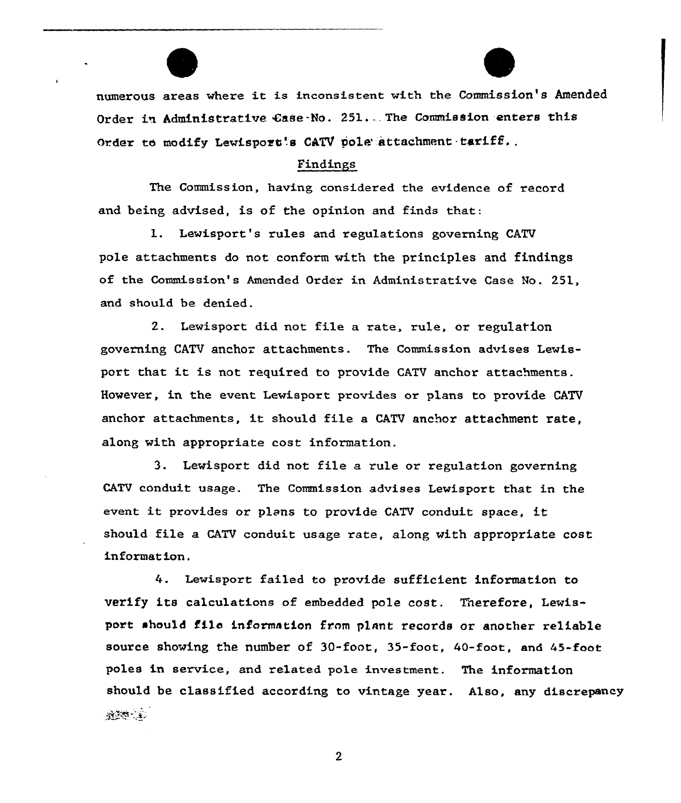numerous areas where it is inconsistent with the Commission's Amended Order in Administrative Case-No. 251. The Commission enters this Order to modify Lewisport's CATV pole attachment tariff.

# Findings

The Commission, having considered the evidence of record and being advised, is of the opinion and finds that:

l. Lewisport's rules and regulations governing CATV pole attachments do not conform with the principles and findings of the Commission's Amended Order in Administrative Case No. 251, and should be denied.

2. Lewisport did not file a rate, ru1e, or regu1ation governing CATV anchor attachments. The Commission advises Lewisport that it is not required to provide CATV anchor attachments. However, in the event Lewisport provides or plans to provide CATV anchor attachments, it should file <sup>a</sup> CATV anchor attachment rate, along with appropriate cost information.

3. Lewisport did not file a rule or regulation governing CATV conduit usage. The Commission advises Lewisport that in the event it provides or plans to provide CATV conduit space, it should file a CATV conduit usage rate, along with appropriate cost information.

Lewisport failed to provide sufficient information to verify its calculations of embedded pole cost. Therefore, Lewisport should filo information from plnnt records or another re1iable source showing the number of 30-foot, 35-foot, 40-foot, and 45-foot poles in service, and re1ated pole investment. The information should be classified according to vintage year. Also, any discrepancy**冷冻的 (主)** 

 $\boldsymbol{2}$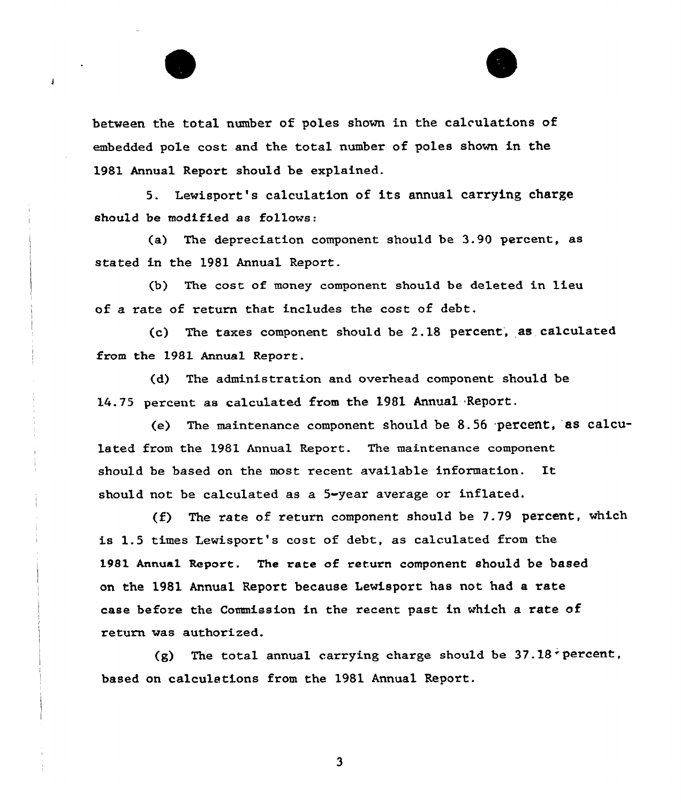between the total number of poles shown in the calculations of embedded pole cost and the total number of poles shown in the 1981 Annual Report should be explained.

 $\mathbf{I}$ 

5. Lewisport's calculation of its annual carrying charge should be modified as follows:

(a) The depreciation component should be 3.90 percent, as stated in the 1981 Annual Report.

(b) The cost of money component should be de1eted in lieu of a rate of return that includes the cost of debt.

(c) The taxes component should be 2.18 percent, as calculated from the 1981 Annual Report.

(d) The administration and overhead component should be 14.75 percent as calculated from the 1981 Annual Report.

(e) The maintenance component should be 8.56 percent,"as calculated from the 1981 Annual Report. The maintenance component should be based on the most recent available information. It should not be calculated as a 5-year average or inflated.

(f) The rate of return component should be 7.79 percent, which is 1.5 times Lewisport's cost of debt, as calculated from the 198l Annual Report. The rate of return component should be based on the 1981 Annual Report because Lewisport has not had a rate case before the Commission in the recent past in which a rate of return was authorized.

(g) The total annual carrying charge should be  $37.18$  percent, based on calculations from the 1981 Annual Report.

3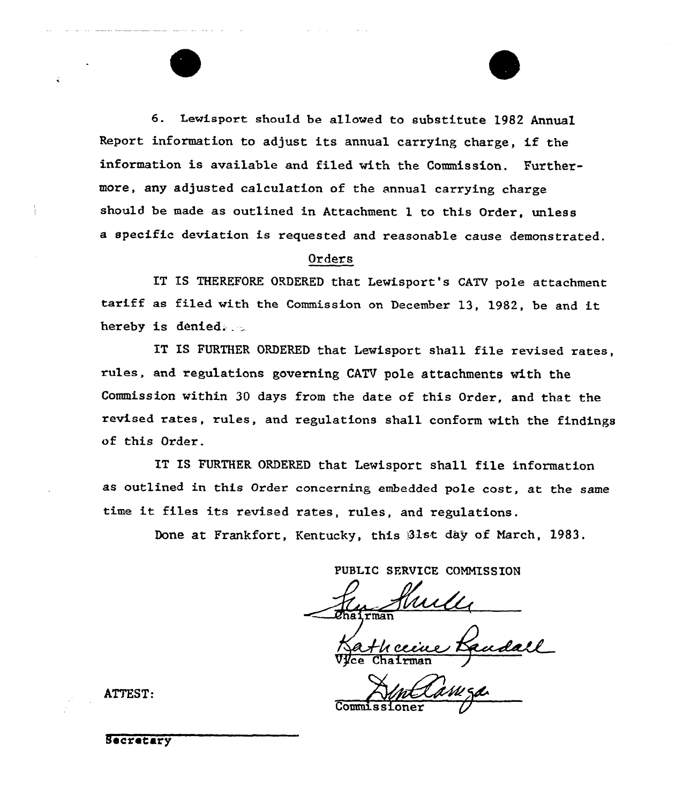6. Lewisport should be allowed to substitute 1982 Annual Report information to adjust its annual carrying charge, if the information is available and filed with the Commission. Furthermore, any adjusted calculation of the annual carrying charge should be made as outlined in Attachment 1 to this Order, unless a specific deviation is requested and reasonable cause demonstrated.

# Orders

IT IS THEREFORE ORDERED that Lewisport's CATV pole attachment tariff as filed with the Commission on December 13, 1982, be and it hereby is denied.

IT IS FURTHER ORDERED that Lewisport shall file revised rates, rules, and regulations governing CATV pole attachments with the Commission within 30 days from the date of this Order, and that the revised rates, rules, and regulations shall conform with the findings of this Order.

IT IS FURTHER ORDERED that Lewisport shall file information as outlined in this Order concerning embedded pole cost, at the same time it files its revised rates, rules, and regulations.

Done at Frankfort, Kentucky, this Blst day of March, 1983.

PUBLIC SERVICE COMMISSION

 $r$ man

Výce Chairma

Commissioner

ATTEST.

Secretary